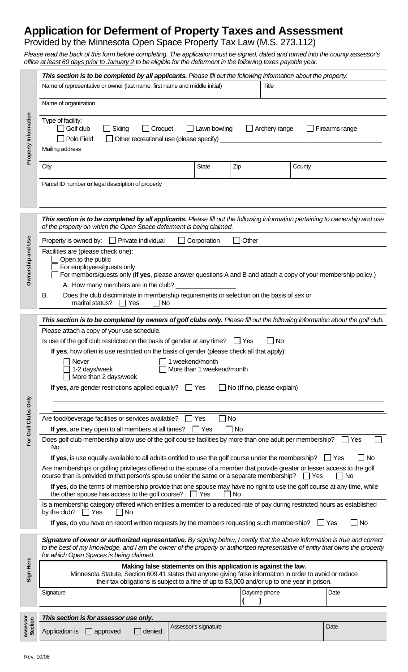# **Application for Deferment of Property Taxes and Assessment**

# Provided by the Minnesota Open Space Property Tax Law (M.S. 273.112)

*Please read the back of this form before completing. The application must be signed, dated and turned into the county assessor's*  office at least 60 days prior to January 2 to be eligible for the deferment in the following taxes payable year.

|                      | This section is to be completed by all applicants. Please fill out the following information about the property.                                                                                                                                                                                                                                                                                                                                                                                                                                                                           |
|----------------------|--------------------------------------------------------------------------------------------------------------------------------------------------------------------------------------------------------------------------------------------------------------------------------------------------------------------------------------------------------------------------------------------------------------------------------------------------------------------------------------------------------------------------------------------------------------------------------------------|
| Property Information | Name of representative or owner (last name, first name and middle initial)<br>Title                                                                                                                                                                                                                                                                                                                                                                                                                                                                                                        |
|                      | Name of organization                                                                                                                                                                                                                                                                                                                                                                                                                                                                                                                                                                       |
|                      | Type of facility:<br>Golf club<br>$\Box$ Skiing<br>$\Box$ Croquet<br>$\Box$ Lawn bowling<br>Archery range<br>Firearms range<br>Polo Field<br>Other recreational use (please specify) _<br>Mailing address                                                                                                                                                                                                                                                                                                                                                                                  |
|                      |                                                                                                                                                                                                                                                                                                                                                                                                                                                                                                                                                                                            |
|                      | City<br><b>State</b><br>Zip<br>County                                                                                                                                                                                                                                                                                                                                                                                                                                                                                                                                                      |
|                      | Parcel ID number or legal description of property                                                                                                                                                                                                                                                                                                                                                                                                                                                                                                                                          |
| Ownership and Use    | This section is to be completed by all applicants. Please fill out the following information pertaining to ownership and use<br>of the property on which the Open Space deferment is being claimed.                                                                                                                                                                                                                                                                                                                                                                                        |
|                      | Property is owned by: $\Box$ Private individual<br>Corporation<br>Other $\overline{\phantom{a}}$                                                                                                                                                                                                                                                                                                                                                                                                                                                                                           |
|                      | Facilities are (please check one):<br>Open to the public<br>For employees/guests only<br>For members/guests only (if yes, please answer questions A and B and attach a copy of your membership policy.)<br>A. How many members are in the club?                                                                                                                                                                                                                                                                                                                                            |
|                      | Does the club discriminate in membership requirements or selection on the basis of sex or<br>В.<br>marital status?<br><b>No</b><br>Yes                                                                                                                                                                                                                                                                                                                                                                                                                                                     |
| For Golf Clubs Only  | This section is to be completed by owners of golf clubs only. Please fill out the following information about the golf club.<br>Please attach a copy of your use schedule.<br>Is use of the golf club restricted on the basis of gender at any time? $\Box$ Yes<br>$\Box$ No<br>If yes, how often is use restricted on the basis of gender (please check all that apply):<br>Never<br>1 weekend/month<br>$\Box$ 1-2 days/week<br>More than 1 weekend/month<br>More than 2 days/week<br>If yes, are gender restrictions applied equally?<br>$\Box$ Yes<br>$\Box$ No (if no, please explain) |
|                      | Are food/beverage facilities or services available?<br>$\Box$ No<br>$\Box$ Yes                                                                                                                                                                                                                                                                                                                                                                                                                                                                                                             |
|                      | If yes, are they open to all members at all times?<br>No<br>Yes<br>$\blacksquare$<br>Does golf club membership allow use of the golf course facilities by more than one adult per membership?<br>∣ ∣ Yes<br>No.                                                                                                                                                                                                                                                                                                                                                                            |
|                      | If yes, is use equally available to all adults entitled to use the golf course under the membership?<br>No<br>$\Box$ Yes                                                                                                                                                                                                                                                                                                                                                                                                                                                                   |
|                      | Are memberships or golfing privileges offered to the spouse of a member that provide greater or lesser access to the golf<br>course than is provided to that person's spouse under the same or a separate membership?<br>∏ Yes<br>No<br>If yes, do the terms of membership provide that one spouse may have no right to use the golf course at any time, while                                                                                                                                                                                                                             |
|                      | the other spouse has access to the golf course? $\Box$ Yes<br>No<br>Is a membership category offered which entitles a member to a reduced rate of pay during restricted hours as established                                                                                                                                                                                                                                                                                                                                                                                               |
|                      | by the club? $\Box$ Yes<br>$\Box$ No<br>If yes, do you have on record written requests by the members requesting such membership?<br>No<br>  Yes                                                                                                                                                                                                                                                                                                                                                                                                                                           |
| Sign Here            | Signature of owner or authorized representative. By signing below, I certify that the above information is true and correct<br>to the best of my knowledge, and I am the owner of the property or authorized representative of entity that owns the property<br>for which Open Spaces is being claimed.                                                                                                                                                                                                                                                                                    |
|                      | Making false statements on this application is against the law.<br>Minnesota Statute, Section 609.41 states that anyone giving false information in order to avoid or reduce<br>their tax obligations is subject to a fine of up to \$3,000 and/or up to one year in prison.                                                                                                                                                                                                                                                                                                               |
|                      | Daytime phone<br>Date<br>Signature                                                                                                                                                                                                                                                                                                                                                                                                                                                                                                                                                         |
|                      | This section is for assessor use only.                                                                                                                                                                                                                                                                                                                                                                                                                                                                                                                                                     |
| Assessor<br>Section  | Assessor's signature<br>Date<br>Application is<br>$\Box$ approved<br>denied.                                                                                                                                                                                                                                                                                                                                                                                                                                                                                                               |